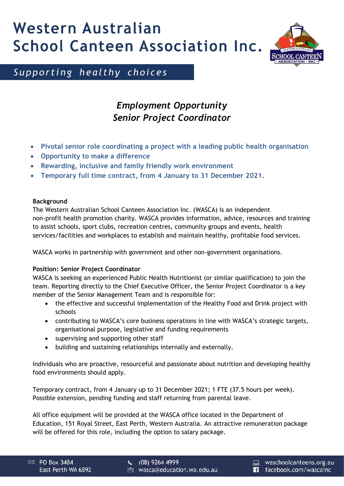# Western Australian **School Canteen Association Inc.**



Supporting healthy choices

## *Employment Opportunity Senior Project Coordinator*

- **Pivotal senior role coordinating a project with a leading public health organisation**
- **Opportunity to make a difference**
- **Rewarding, inclusive and family friendly work environment**
- **Temporary full time contract, from 4 January to 31 December 2021.**

#### **Background**

The Western Australian School Canteen Association Inc. (WASCA) is an independent non-profit health promotion charity. WASCA provides information, advice, resources and training to assist schools, sport clubs, recreation centres, community groups and events, health services/facilities and workplaces to establish and maintain healthy, profitable food services.

WASCA works in partnership with government and other non-government organisations.

### **Position: Senior Project Coordinator**

WASCA is seeking an experienced Public Health Nutritionist (or similar qualification) to join the team. Reporting directly to the Chief Executive Officer, the Senior Project Coordinator is a key member of the Senior Management Team and is responsible for:

- the effective and successful implementation of the Healthy Food and Drink project with schools
- contributing to WASCA's core business operations in line with WASCA's strategic targets, organisational purpose, legislative and funding requirements
- supervising and supporting other staff
- building and sustaining relationships internally and externally.

Individuals who are proactive, resourceful and passionate about nutrition and developing healthy food environments should apply.

Temporary contract, from 4 January up to 31 December 2021; 1 FTE (37.5 hours per week). Possible extension, pending funding and staff returning from parental leave.

All office equipment will be provided at the WASCA office located in the Department of Education, 151 Royal Street, East Perth, Western Australia. An attractive remuneration package will be offered for this role, including the option to salary package.